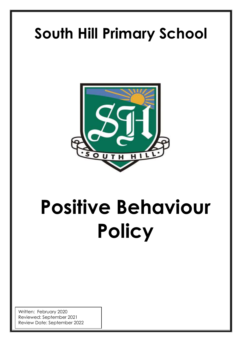## **South Hill Primary School**



# **Positive Behaviour Policy**

**S**

Written: February 2020 Reviewed: September 2021 Review Date: September 2022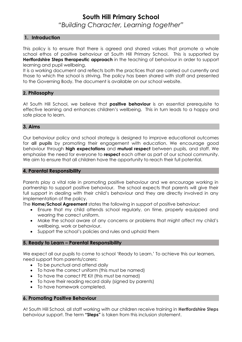#### **South Hill Primary School** *"Building Character, Learning together"*

#### **1. Introduction**

This policy is to ensure that there is agreed and shared values that promote a whole school ethos of positive behaviour at South Hill Primary School. This is supported by **Hertfordshire Steps therapeutic approach** in the teaching of behaviour in order to support learning and pupil wellbeing.

It is a working document and reflects both the practices that are carried out currently and those to which the school is striving. The policy has been shared with staff and presented to the Governing Body. The document is available on our school website.

#### **2. Philosophy**

At South Hill School, we believe that **positive behaviour** is an essential prerequisite to effective learning and enhances children's wellbeing. This in turn leads to a happy and safe place to learn.

#### **3. Aims**

Our behaviour policy and school strategy is designed to improve educational outcomes for **all pupils** by promoting their engagement with education. We encourage good behaviour through **high expectations** and **mutual respect** between pupils, and staff. We emphasise the need for everyone to **respect** each other as part of our school community. We aim to ensure that all children have the opportunity to reach their full potential.

#### **4. Parental Responsibility**

Parents play a vital role in promoting positive behaviour and we encourage working in partnership to support positive behaviour. The school expects that parents will give their full support in dealing with their child's behaviour and they are directly involved in any implementation of the policy.

The **Home/School Agreement** states the following in support of positive behaviour:

- Ensure that my child attends school regularly, on time, properly equipped and wearing the correct uniform.
- Make the school aware of any concerns or problems that might affect my child's wellbeing, work or behaviour.
- Support the school's policies and rules and uphold them

#### **5. Ready to Learn – Parental Responsibility**

We expect all our pupils to come to school 'Ready to Learn.' To achieve this our learners, need support from parents/carers:

- To be punctual and attend daily
- To have the correct uniform (this must be named)
- To have the correct PE Kit (this must be named)
- To have their reading record daily (signed by parents)
- To have homework completed.

#### **6. Promoting Positive Behaviour**

At South Hill School, all staff working with our children receive training in **Hertfordshire Steps** behaviour support. The term **"Steps"** is taken from this inclusion statement.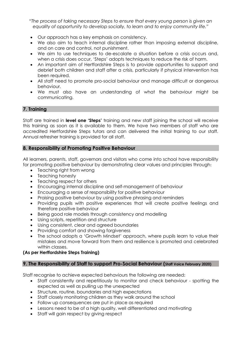*"The process of taking necessary Steps to ensure that every young person is given an equality of opportunity to develop socially, to learn and to enjoy community life."*

- Our approach has a key emphasis on consistency.
- We also aim to teach internal discipline rather than imposing external discipline, and on care and control, not punishment.
- We aim to use techniques to de-escalate a situation before a crisis occurs and, when a crisis does occur, 'Steps' adopts techniques to reduce the risk of harm.
- An important aim of Hertfordshire Steps is to provide opportunities to support and debrief both children and staff after a crisis, particularly if physical intervention has been required.
- All staff need to promote pro-social behaviour and manage difficult or dangerous behaviour.
- We must also have an understanding of what the behaviour might be communicating.

#### **7. Training**

Staff are trained in **level one 'Steps'** training and new staff joining the school will receive this training as soon as it is available to them. We have two members of staff who are accredited Hertfordshire Steps tutors and can delivered the initial training to our staff. Annual refresher training is provided for all staff.

#### **8. Responsibility of Promoting Positive Behaviour**

All learners, parents, staff, governors and visitors who come into school have responsibility for promoting positive behaviour by demonstrating clear values and principles through:

- Teaching right from wrong
- Teaching honesty
- Teaching respect for others
- Encouraging internal discipline and self-management of behaviour
- Encouraging a sense of responsibility for positive behaviour
- Praising positive behaviour by using positive phrasing and reminders
- Providing pupils with positive experiences that will create positive feelings and therefore positive behaviour
- Being good role models through consistency and modelling
- Using scripts, repetition and structure
- Using consistent, clear and agreed boundaries
- Providing comfort and showing forgiveness
- The school adopts a 'Growth Mindset' approach, where pupils learn to value their mistakes and move forward from them and resilience is promoted and celebrated within classes.

#### **(As per Hertfordshire Steps Training)**

#### **9. The Responsibility of Staff to support Pro-Social Behaviour (Staff Voice February 2020)**

Staff recognise to achieve expected behaviours the following are needed:

- Staff consistently and repetitiously to monitor and check behaviour spotting the expected as well as pulling up the unexpected
- Structure, routine, boundaries and high expectations
- Staff closely monitoring children as they walk around the school
- Follow up consequences are put in place as required
- Lessons need to be of a high quality, well differentiated and motivating
- Staff will gain respect by giving respect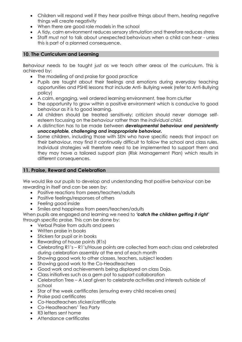- Children will respond well if they hear positive things about them, hearing negative things will create negativity
- When there are good role models in the school
- A tidy, calm environment reduces sensory stimulation and therefore reduces stress
- Staff must not to talk about unexpected behaviours when a child can hear unless this is part of a planned consequence.

#### **10. The Curriculum and Learning**

Behaviour needs to be taught just as we teach other areas of the curriculum. This is achieved by:

- The modelling of and praise for good practice
- Pupils are taught about their feelings and emotions during everyday teaching opportunities and PSHE lessons that include Anti- Bullying week (refer to Anti-Bullying policy)
- A calm, engaging, well ordered learning environment, free from clutter
- The opportunity to grow within a positive environment which is conducive to good behaviour as it is to good learning.
- All children should be treated sensitively; criticism should never damage selfesteem focussing on the *behaviour* rather than the *individual child*.
- A distinction has to be made between *developmental behaviour and persistently unacceptable, challenging and inappropriate behaviour.*
- Some children, including those with SEN who have specific needs that impact on their behaviour, may find it continually difficult to follow the school and class rules. Individual strategies will therefore need to be implemented to support them and they may have a tailored support plan (Risk Management Plan) which results in different consequences.

#### **11. Praise, Reward and Celebration**

We would like our pupils to develop and understanding that positive behaviour can be rewarding in itself and can be seen by:

- Positive reactions from peers/teachers/adults
- Positive feelings/responses of others
- Feeling good inside
- Smiles and happiness from peers/teachers/adults

When pupils are engaged and learning we need to *'catch the children getting it right'* through specific praise. This can be done by:

- Verbal Praise from adults and peers
- Written praise in books
- Stickers for pupil or in books
- Rewarding of house points (R1s)
- Celebrating R1's R1's/House points are collected from each class and celebrated during celebration assembly at the end of each month
- Showing good work to other classes, teachers, subject leaders
- Showing good work to the Co-Headteachers
- Good work and achievements being displayed on class Dojo.
- Class initiatives such as a gem pot to support collaboration
- Celebration Tree A Leaf given to celebrate activities and interests outside of school
- Star of the week certificates (ensuring every child receives ones)
- Praise pad certificates
- Co-Headteachers sticker/certificate
- Co-Headteachers' Tea Party
- R3 letters sent home
- Attendance certificates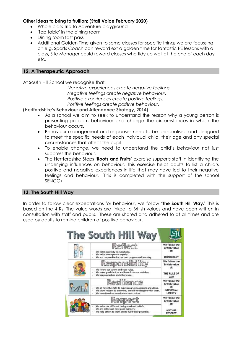#### **Other ideas to bring to fruition: (Staff Voice February 2020)**

- Whole class Trip to Adventure playground
- 'Top table' in the dining room
- Dining room fast pass
- Additional Golden Time given to some classes for specific things we are focussing on e.g. Sports Coach can reward extra golden time for fantastic PE lessons with a class, Site Manager could reward classes who tidy up well at the end of each day, etc.

#### **12. A Therapeutic Approach**

At South Hill School we recognise that;

 *Negative experiences create negative feelings. Negative feelings create negative behaviour. Positive experiences create positive feelings. Positive feelings create positive behaviour.*

**(Hertfordshire's Behaviour and Attendance Strategy, 2014)**

- As a school we aim to seek to understand the reason why a young person is presenting problem behaviour and change the circumstances in which the behaviour occurs.
- Behaviour management and responses need to be personalised and designed to meet the specific needs of each individual child, their age and any special circumstances that affect the pupil.
- To enable change, we need to understand the child's behaviour not just suppress the behaviour.
- The Hertfordshire Steps **'Roots and Fruits'** exercise supports staff in identifying the underlying influences on behaviour. This exercise helps adults to list a child's positive and negative experiences in life that may have led to their negative feelings and behaviour. (This is completed with the support of the school SENCO)

#### **13. The South Hill Way**

In order to follow clear expectations for behaviour, we follow **'The South Hill Way.'** This is based on the 4 Rs. The value words are linked to British values and have been written in consultation with staff and pupils. These are shared and adhered to at all times and are used by adults to remind children of positive behaviour.

|  | The South Hill Way                                                                                                                                                      |                                        |
|--|-------------------------------------------------------------------------------------------------------------------------------------------------------------------------|----------------------------------------|
|  | Reflect                                                                                                                                                                 | We follow the<br><b>British value</b>  |
|  | We listen carefully to everybody.<br>We value every person equally.<br>We are responsible for our own progress and learning.                                            | of:<br>DEMOCRACY                       |
|  | Responsibility                                                                                                                                                          | We follow the<br><b>British value</b>  |
|  | We follow our school and class rules.<br>We make good choices and learn from our mistakes.<br>We keep ourselves and others safe.                                        | of:<br>THE RULE OF<br>LAW              |
|  | Resilience                                                                                                                                                              | We follow the<br><b>British value</b>  |
|  | We all have the right to express our own opinions and views.<br>We show respect to everyone, even if we disagree with them.<br>We have freedom to make our own choices. | of:<br>INDIVIDUAL<br>LIBERTY           |
|  | Respect                                                                                                                                                                 | We follow the<br><b>British value</b>  |
|  | We value our different background and beliefs.<br>We are polite and have good manners.<br>We help others to learn and to fulfil their potential.                        | of:<br><b>MUTUAL</b><br><b>RESPECT</b> |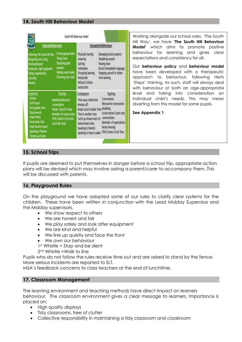#### **14. South Hill Behaviour Model**

|                                                                                                                                                                                                        |                                                                                                                                                    | South Hill Behaviour Model                                                                                                                                                                                              |                                                                                                                                                                             |
|--------------------------------------------------------------------------------------------------------------------------------------------------------------------------------------------------------|----------------------------------------------------------------------------------------------------------------------------------------------------|-------------------------------------------------------------------------------------------------------------------------------------------------------------------------------------------------------------------------|-----------------------------------------------------------------------------------------------------------------------------------------------------------------------------|
| <b>Expected Behaviours</b>                                                                                                                                                                             |                                                                                                                                                    |                                                                                                                                                                                                                         | <b>Unexpected Behaviours</b>                                                                                                                                                |
| Following The South Hill Way<br>Being Kind and Caring<br><b>Showing Respect</b><br>Having the right equipment<br>Taking responsibility<br>Listening<br>Honesty                                         | Sitting appropriately<br>Taking Turns<br>Displaying good<br>manners<br>Walking when inside<br>Following class rules                                | Physically hurting<br>Swearing<br>Soitting<br>Unkindness<br>Disrupting learning<br>Being Rude<br>Refusal to follow<br>instructions                                                                                      | Damaging school property<br>Wandering around<br>Passing notes<br>Racist/Homophobic language<br>Stopping yourself or others<br>from learning                                 |
| <b>Incentives</b><br><b>Stickers</b><br><b>Certificates</b><br>Extra golden time<br>Class rewards<br>House Points<br>Extra break time<br>Head Teacher Award<br>Speaking to Parents<br>Thumbs up/Smiles | Teaching<br>Modelling behaviour<br>Conversation<br>Verbal/ Specific Praise<br>Reminder of expectations<br>PSHE/Zones/Circle time<br>Catch the Good | Consequence<br>Time away (reflection)<br>Minutes off:<br>Break/Lunch/Golden Time Modelling<br>Time in another class<br>Catch up missed work (At<br>Home/break time)<br>Speaking to Parents<br>Speaking to Senior Leader | Teaching<br>Conversation<br>Restorative conversation<br>Social stories/Comic strip<br>conversations<br>Reminder of expectations<br>Verbal Warning<br>PSHE/Zones/Circle Time |

Working alongside our school rules, 'The South Hill Way', we have **'The South Hill Behaviour Model'** which aims to promote positive behaviour for learning and gives clear expectations and consistency for all.

Our **behaviour policy** and **behaviour model** have been developed with a therapeutic approach to behaviour, following Herts 'Steps' training. As such, staff will always deal with behaviour at both an age-appropriate level and taking into consideration an individual child's needs. This may mean diverting from this model for some pupils.

**See Appendix 1**

#### **15. School Trips**

If pupils are deemed to put themselves in danger before a school trip, appropriate action plans will be devised which may involve asking a parent/carer to accompany them. This will be discussed with parents.

#### **16. Playground Rules**

On the playground we have adapted some of our rules to clarify clear systems for the children. These have been written in conjunction with the Lead Midday Supervisor and the Midday supervisors.

- We show respect to others
- We are honest and fair
- We play safely and look after equipment
- We are kind and helpful
- We line up quietly and face the front
- We own our behaviour

1<sup>st</sup> Whistle = Stop and be silent

2nd Whistle =Walk to line

Pupils who do not follow the rules receive time out and are asked to stand by the fence. More serious incidents are reported to SLT.

MSA's feedback concerns to class teachers at the end of lunchtime.

#### **17. Classroom Management**

The learning environment and teaching methods have direct impact on learners behaviour. The classroom environment gives a clear message to learners. Importance is placed on:

- High quality displays
- Tidy classrooms, free of clutter
- Collective responsibility in maintaining a tidy classroom and cloakroom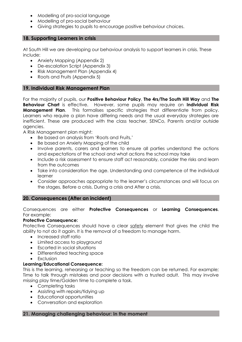- Modelling of pro-social language
- Modelling of pro-social behaviour
- Giving strategies to pupils to encourage positive behaviour choices.

#### **18. Supporting Learners in crisis**

At South Hill we are developing our behaviour analysis to support learners in crisis. These include:

- Anxiety Mapping (Appendix 2)
- De-escalation Script (Appendix 3)
- Risk Management Plan (Appendix 4)
- Roots and Fruits (Appendix 5)

#### **19. Individual Risk Management Plan**

For the majority of pupils, our **Positive Behaviour Policy**, **The 4rs/The South Hill Way** and **The Behaviour Chart** is effective. However, some pupils may require an **Individual Risk Management Plan.** This formalises specific strategies that differentiate from policy. Learners who require a plan have differing needs and the usual everyday strategies are inefficient. These are produced with the class teacher, SENCo, Parents and/or outside agencies.

A Risk Management plan might:

- Be based on analysis from 'Roots and Fruits,'
- Be based on Anxiety Mapping of the child
- Involve parents, carers and learners to ensure all parties understand the actions and expectations of the school and what actions the school may take
- Include a risk assessment to ensure staff act reasonably, consider the risks and learn from the outcomes
- Take into consideration the age. Understanding and competence of the individual learner
- Consider approaches appropriate to the learner's circumstances and will focus on the stages, Before a crisis, During a crisis and After a crisis.

#### **20. Consequences (After an incident)**

#### Consequences are either **Protective Consequences** or **Learning Consequences**. For example:

#### **Protective Consequence:**

Protective Consequences should have a clear safety element that gives the child the ability to not do it again. It is the removal of a freedom to manage harm.

- Increased staff ratio
- Limited access to playground
- Escorted in social situations
- Differentiated teaching space
- Exclusion

#### **Learning/Educational Consequence:**

This is the learning, rehearsing or teaching so the freedom can be returned. For example; Time to talk through mistakes and poor decisions with a trusted adult. This may involve missing play time/Golden time to complete a task.

- Completing tasks
- Assisting with repairs/tidying up
- Educational opportunities
- Conversation and exploration

#### **21. Managing challenging behaviour: In the moment**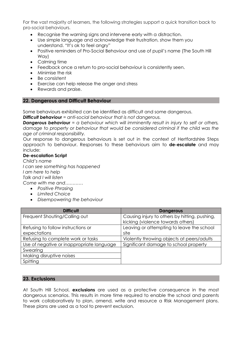For the vast majority of learners, the following strategies support a quick transition back to pro-social behaviours.

- Recognise the warning signs and intervene early with a distraction.
- Use simple language and acknowledge their frustration, show them you understand. "It's ok to feel angry"
- Positive reminders of Pro-Social Behaviour and use of pupil's name (The South Hill Way)
- Calmina time
- Feedback once a return to pro-social behaviour is consistently seen.
- Minimise the risk
- Be consistent
- Exercise can help release the anger and stress
- Rewards and praise.

#### **22. Dangerous and Difficult Behaviour**

Some behaviours exhibited can be identified as difficult and some dangerous.

*Difficult behaviour = anti-social behaviour that is not dangerous.*

**Dangerous behaviour** = a behaviour which will imminently result in injury to self or others, *damage to property or behaviour that would be considered criminal if the child was the age of criminal responsibility.*

Our response to dangerous behaviours is set out in the context of Hertfordshire Steps approach to behaviour. Responses to these behaviours aim to **de-escalate** and may include:

#### **De-escalation Script**

*Child's name I can see something has happened I am here to help Talk and I will listen Come with me and…………*

- *Positive Phrasing*
- *Limited Choice*
- *Disempowering the behaviour*

| <b>Difficult</b>                          | <b>Dangerous</b>                                                                   |
|-------------------------------------------|------------------------------------------------------------------------------------|
| Frequent Shouting/Calling out             | Causing injury to others by hitting, pushing,<br>kicking (violence towards others) |
|                                           |                                                                                    |
| Refusing to follow instructions or        | Leaving or attempting to leave the school                                          |
| expectations                              | site                                                                               |
| Refusing to complete work or tasks        | Violently throwing objects at peers/adults                                         |
| Use of negative or inappropriate language | Significant damage to school property                                              |
| Swearing                                  |                                                                                    |
| Making disruptive noises                  |                                                                                    |
| Spitting                                  |                                                                                    |

#### **23. Exclusions**

At South Hill School, **exclusions** are used as a protective consequence in the most dangerous scenarios. This results in more time required to enable the school and parents to work collaboratively to plan, amend, write and resource a Risk Management plans. These plans are used as a tool to prevent exclusion.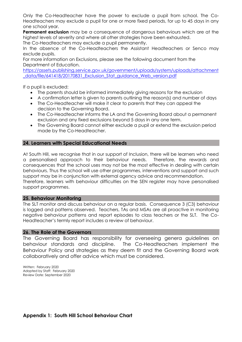Only the Co-Headteacher have the power to exclude a pupil from school. The Co-Headteachers may exclude a pupil for one or more fixed periods, for up to 45 days in any one school year.

**Permanent exclusion** may be a consequence of dangerous behaviours which are at the highest levels of severity and where all other strategies have been exhausted.

The Co-Headteachers may exclude a pupil permanently.

In the absence of the Co-Headteachers the Assistant Headteachers or Senco may exclude pupils.

For more information on Exclusions, please see the following document from the Department of Education.

[https://assets.publishing.service.gov.uk/government/uploads/system/uploads/attachment](https://assets.publishing.service.gov.uk/government/uploads/system/uploads/attachment_data/file/641418/20170831_Exclusion_Stat_guidance_Web_version.pdf) [\\_data/file/641418/20170831\\_Exclusion\\_Stat\\_guidance\\_Web\\_version.pdf](https://assets.publishing.service.gov.uk/government/uploads/system/uploads/attachment_data/file/641418/20170831_Exclusion_Stat_guidance_Web_version.pdf)

If a pupil is excluded:

- The parents should be informed immediately giving reasons for the exclusion
- A confirmation letter is given to parents outlining the reason(s) and number of days
- The Co-Headteacher will make it clear to parents that they can appeal the decision to the Governing Board.
- The Co-Headteacher informs the LA and the Governing Board about a permanent exclusion and any fixed exclusions beyond 5 days in any one term.
- The Governing Board cannot either exclude a pupil or extend the exclusion period made by the Co-Headteacher.

#### **24. Learners with Special Educational Needs**

At South Hill, we recognise that in our support of Inclusion, there will be learners who need a personalised approach to their behaviour needs. Therefore, the rewards and consequences that the school uses may not be the most effective in dealing with certain behaviours. Thus the school will use other programmes, interventions and support and such support may be in conjunction with external agency advice and recommendation. Therefore, learners with behaviour difficulties on the SEN register may have personalised support programmes.

#### **25. Behaviour Monitoring**

The SLT monitor and discuss behaviour on a regular basis. Consequence 3 (C3) behaviour is logged and patterns observed. Teachers, TAs and MSAs are all proactive in monitoring negative behaviour patterns and report episodes to class teachers or the SLT. The Co-Headteacher's termly report includes a review of behaviour.

#### **26. The Role of the Governors**

The Governing Board has responsibility for overseeing genera guidelines on behaviour standards and discipline. The Co-Headteachers implement the Behaviour Policy and strategies as they deem fit and the Governing Board work collaboratively and offer advice which must be considered.

Written: February 2020 Adopted by Staff: February 2020 Review Date: September 2020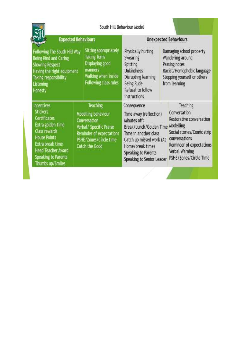|                                                                                                                                                                                                                                                                                                     |  |                                                                                                                                                    | South Hill Behaviour Model                                                                                                                                                                                    |                                                                                                                                             |                                                                                                                                                                                          |
|-----------------------------------------------------------------------------------------------------------------------------------------------------------------------------------------------------------------------------------------------------------------------------------------------------|--|----------------------------------------------------------------------------------------------------------------------------------------------------|---------------------------------------------------------------------------------------------------------------------------------------------------------------------------------------------------------------|---------------------------------------------------------------------------------------------------------------------------------------------|------------------------------------------------------------------------------------------------------------------------------------------------------------------------------------------|
| <b>Expected Behaviours</b>                                                                                                                                                                                                                                                                          |  |                                                                                                                                                    | <b>Unexpected Behaviours</b>                                                                                                                                                                                  |                                                                                                                                             |                                                                                                                                                                                          |
| Sitting appropriately<br>Following The South Hill Way<br><b>Taking Turns</b><br>Being Kind and Caring<br>Displaying good<br><b>Showing Respect</b><br>manners<br>Having the right equipment<br>Walking when inside<br>Taking responsibility<br>Following class rules<br><b>Listening</b><br>Honesty |  | Physically hurting<br>Swearing<br>Spitting<br><b>Unkindness</b><br>Disrupting learning<br><b>Being Rude</b><br>Refusal to follow<br>instructions   |                                                                                                                                                                                                               | Damaging school property<br>Wandering around<br>Passing notes<br>Racist/Homophobic language<br>Stopping yourself or others<br>from learning |                                                                                                                                                                                          |
| Incentives<br><b>Stickers</b><br>Certificates<br>Extra golden time<br><b>Class rewards</b><br><b>House Points</b><br>Extra break time<br><b>Head Teacher Award</b><br><b>Speaking to Parents</b><br>Thumbs up/Smiles                                                                                |  | Teaching<br>Modelling behaviour<br>Conversation<br>Verbal/ Specific Praise<br>Reminder of expectations<br>PSHE/Zones/Circle time<br>Catch the Good | Consequence<br>Time away (reflection)<br>Minutes off:<br>Break/Lunch/Golden Time<br>Time in another class<br>Catch up missed work (At<br>Home/break time)<br>Speaking to Parents<br>Speaking to Senior Leader |                                                                                                                                             | Teaching<br>Conversation<br>Restorative conversation<br>Modelling<br>Social stories/Comic strip<br>conversations<br>Reminder of expectations<br>Verbal Warning<br>PSHE/Zones/Circle Time |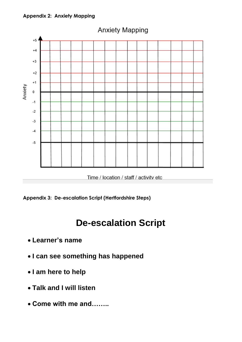#### **Appendix 2: Anxiety Mapping**



Time / location / staff / activity etc



## **De-escalation Script**

- **Learner's name**
- **I can see something has happened**
- **I am here to help**
- **Talk and I will listen**
- **Come with me and……..**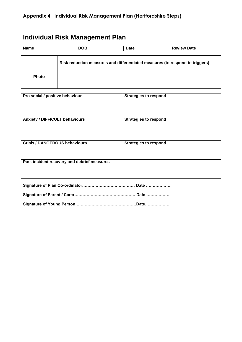### **Individual Risk Management Plan**

| Name         | <b>DOB</b> | <b>Date</b> | <b>Review Date</b>                                                           |
|--------------|------------|-------------|------------------------------------------------------------------------------|
|              |            |             |                                                                              |
|              |            |             | Risk reduction measures and differentiated measures (to respond to triggers) |
| <b>Photo</b> |            |             |                                                                              |

| Pro social / positive behaviour             | <b>Strategies to respond</b> |  |  |  |
|---------------------------------------------|------------------------------|--|--|--|
| <b>Anxiety / DIFFICULT behaviours</b>       | <b>Strategies to respond</b> |  |  |  |
| <b>Crisis / DANGEROUS behaviours</b>        | <b>Strategies to respond</b> |  |  |  |
| Post incident recovery and debrief measures |                              |  |  |  |
|                                             | Date                         |  |  |  |